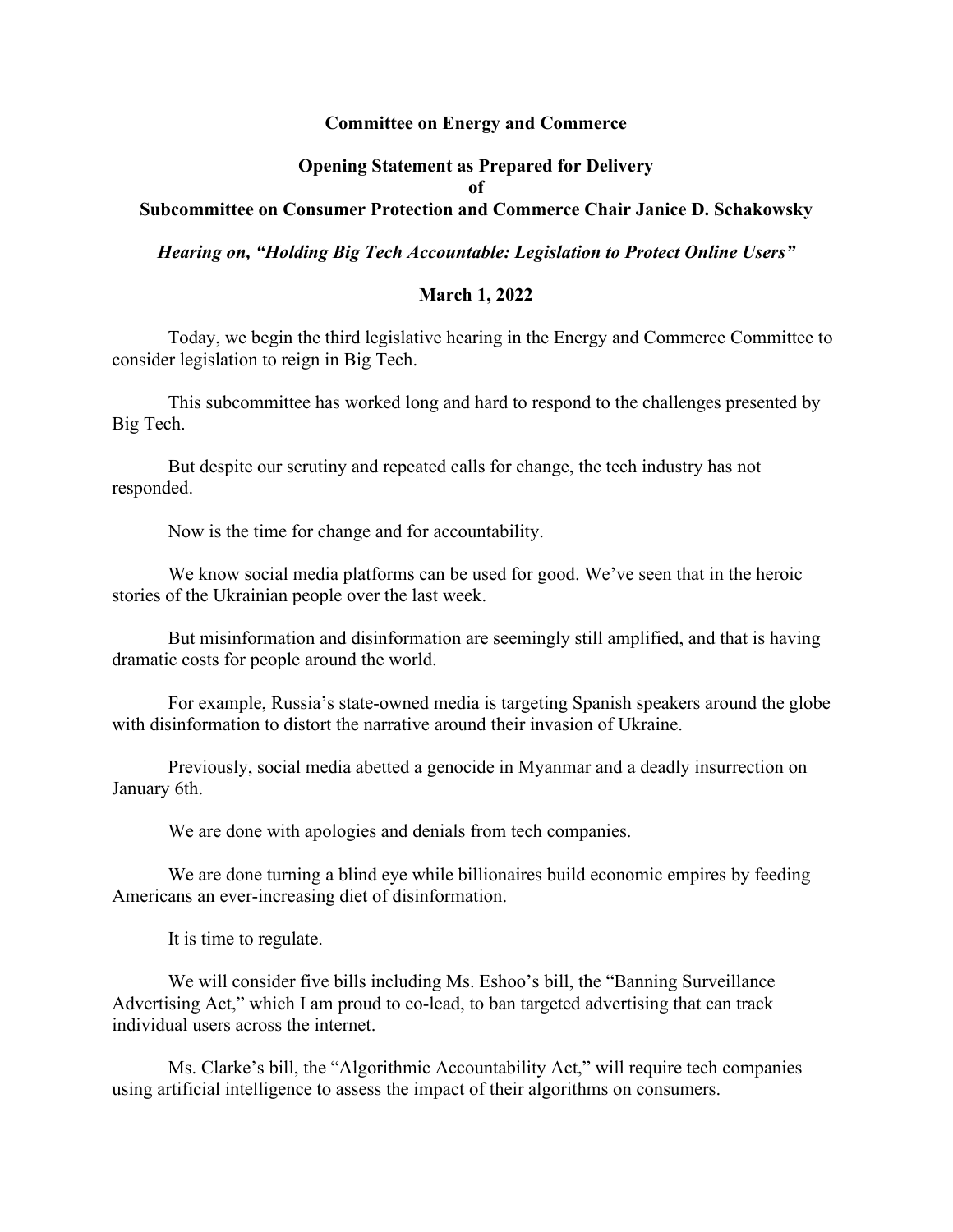## **Committee on Energy and Commerce**

## **Opening Statement as Prepared for Delivery of**

**Subcommittee on Consumer Protection and Commerce Chair Janice D. Schakowsky**

*Hearing on, "Holding Big Tech Accountable: Legislation to Protect Online Users"*

## **March 1, 2022**

Today, we begin the third legislative hearing in the Energy and Commerce Committee to consider legislation to reign in Big Tech.

This subcommittee has worked long and hard to respond to the challenges presented by Big Tech.

But despite our scrutiny and repeated calls for change, the tech industry has not responded.

Now is the time for change and for accountability.

We know social media platforms can be used for good. We've seen that in the heroic stories of the Ukrainian people over the last week.

But misinformation and disinformation are seemingly still amplified, and that is having dramatic costs for people around the world.

For example, Russia's state-owned media is targeting Spanish speakers around the globe with disinformation to distort the narrative around their invasion of Ukraine.

Previously, social media abetted a genocide in Myanmar and a deadly insurrection on January 6th.

We are done with apologies and denials from tech companies.

We are done turning a blind eye while billionaires build economic empires by feeding Americans an ever-increasing diet of disinformation.

It is time to regulate.

We will consider five bills including Ms. Eshoo's bill, the "Banning Surveillance Advertising Act," which I am proud to co-lead, to ban targeted advertising that can track individual users across the internet.

Ms. Clarke's bill, the "Algorithmic Accountability Act," will require tech companies using artificial intelligence to assess the impact of their algorithms on consumers.